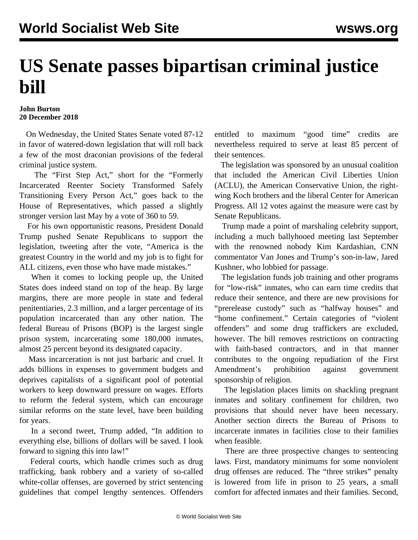## **US Senate passes bipartisan criminal justice bill**

## **John Burton 20 December 2018**

 On Wednesday, the United States Senate voted 87-12 in favor of watered-down legislation that will roll back a few of the most draconian provisions of the federal criminal justice system.

 The "First Step Act," short for the "Formerly Incarcerated Reenter Society Transformed Safely Transitioning Every Person Act," goes back to the House of Representatives, which passed a slightly stronger version last May by a vote of 360 to 59.

 For his own opportunistic reasons, President Donald Trump pushed Senate Republicans to support the legislation, tweeting after the vote, "America is the greatest Country in the world and my job is to fight for ALL citizens, even those who have made mistakes."

 When it comes to locking people up, the United States does indeed stand on top of the heap. By large margins, there are more people in state and federal penitentiaries, 2.3 million, and a larger percentage of its population incarcerated than any other nation. The federal Bureau of Prisons (BOP) is the largest single prison system, incarcerating some 180,000 inmates, almost 25 percent beyond its designated capacity.

 Mass incarceration is not just barbaric and cruel. It adds billions in expenses to government budgets and deprives capitalists of a significant pool of potential workers to keep downward pressure on wages. Efforts to reform the federal system, which can encourage similar reforms on the state level, have been building for years.

 In a second tweet, Trump added, "In addition to everything else, billions of dollars will be saved. I look forward to signing this into law!"

 Federal courts, which handle crimes such as drug trafficking, bank robbery and a variety of so-called white-collar offenses, are governed by strict sentencing guidelines that compel lengthy sentences. Offenders

entitled to maximum "good time" credits are nevertheless required to serve at least 85 percent of their sentences.

 The legislation was sponsored by an unusual coalition that included the American Civil Liberties Union (ACLU), the American Conservative Union, the rightwing Koch brothers and the liberal Center for American Progress. All 12 votes against the measure were cast by Senate Republicans.

 Trump made a point of marshaling celebrity support, including a much ballyhooed meeting last September with the renowned nobody Kim Kardashian, CNN commentator Van Jones and Trump's son-in-law, Jared Kushner, who lobbied for passage.

 The legislation funds job training and other programs for "low-risk" inmates, who can earn time credits that reduce their sentence, and there are new provisions for "prerelease custody" such as "halfway houses" and "home confinement." Certain categories of "violent offenders" and some drug traffickers are excluded, however. The bill removes restrictions on contracting with faith-based contractors, and in that manner contributes to the ongoing repudiation of the First Amendment's prohibition against government sponsorship of religion.

 The legislation places limits on shackling pregnant inmates and solitary confinement for children, two provisions that should never have been necessary. Another section directs the Bureau of Prisons to incarcerate inmates in facilities close to their families when feasible.

 There are three prospective changes to sentencing laws. First, mandatory minimums for some nonviolent drug offenses are reduced. The "three strikes" penalty is lowered from life in prison to 25 years, a small comfort for affected inmates and their families. Second,